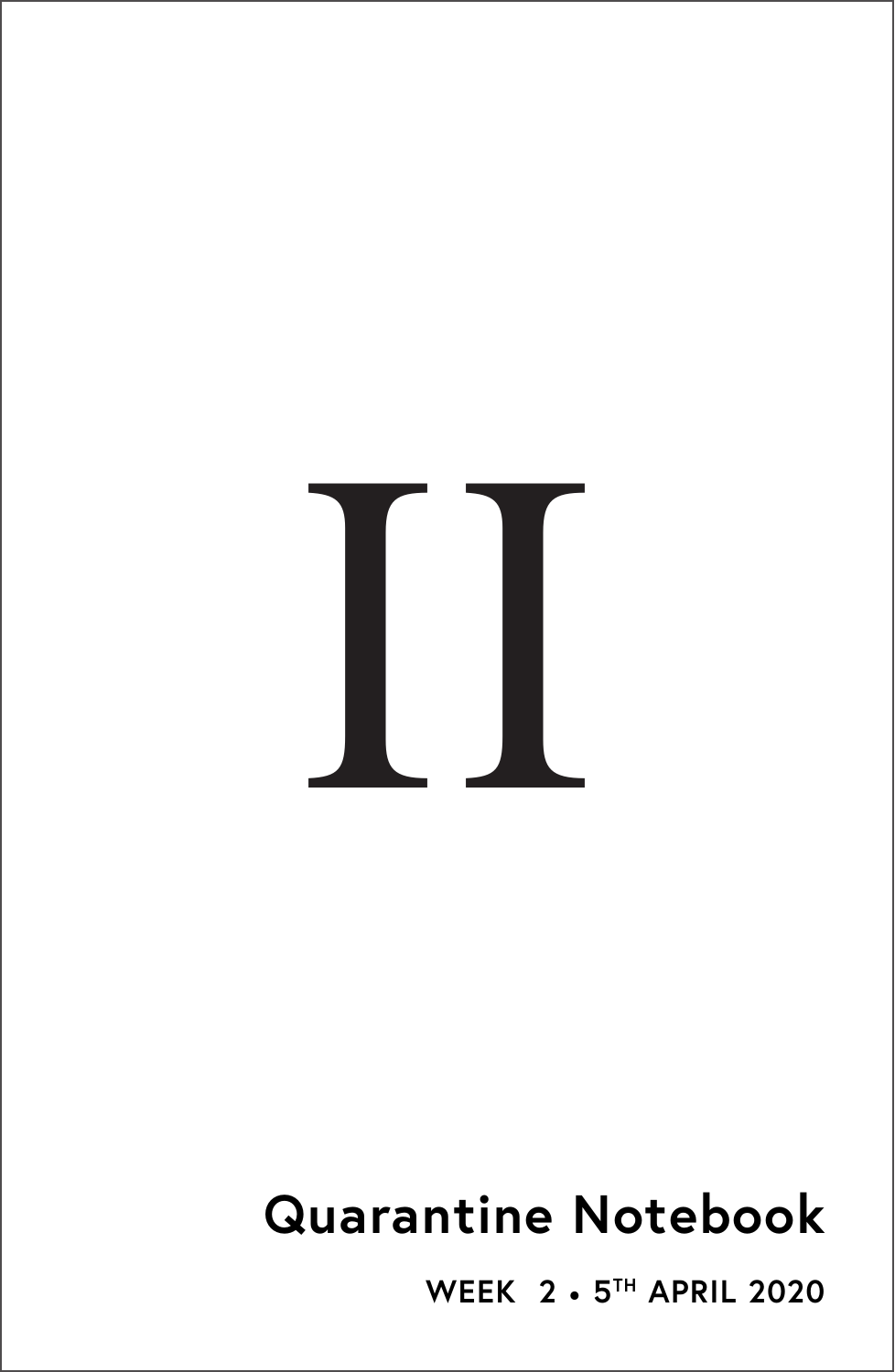# II

# **Quarantine Notebook**

**WEEK 2** • **5TH APRIL 2020**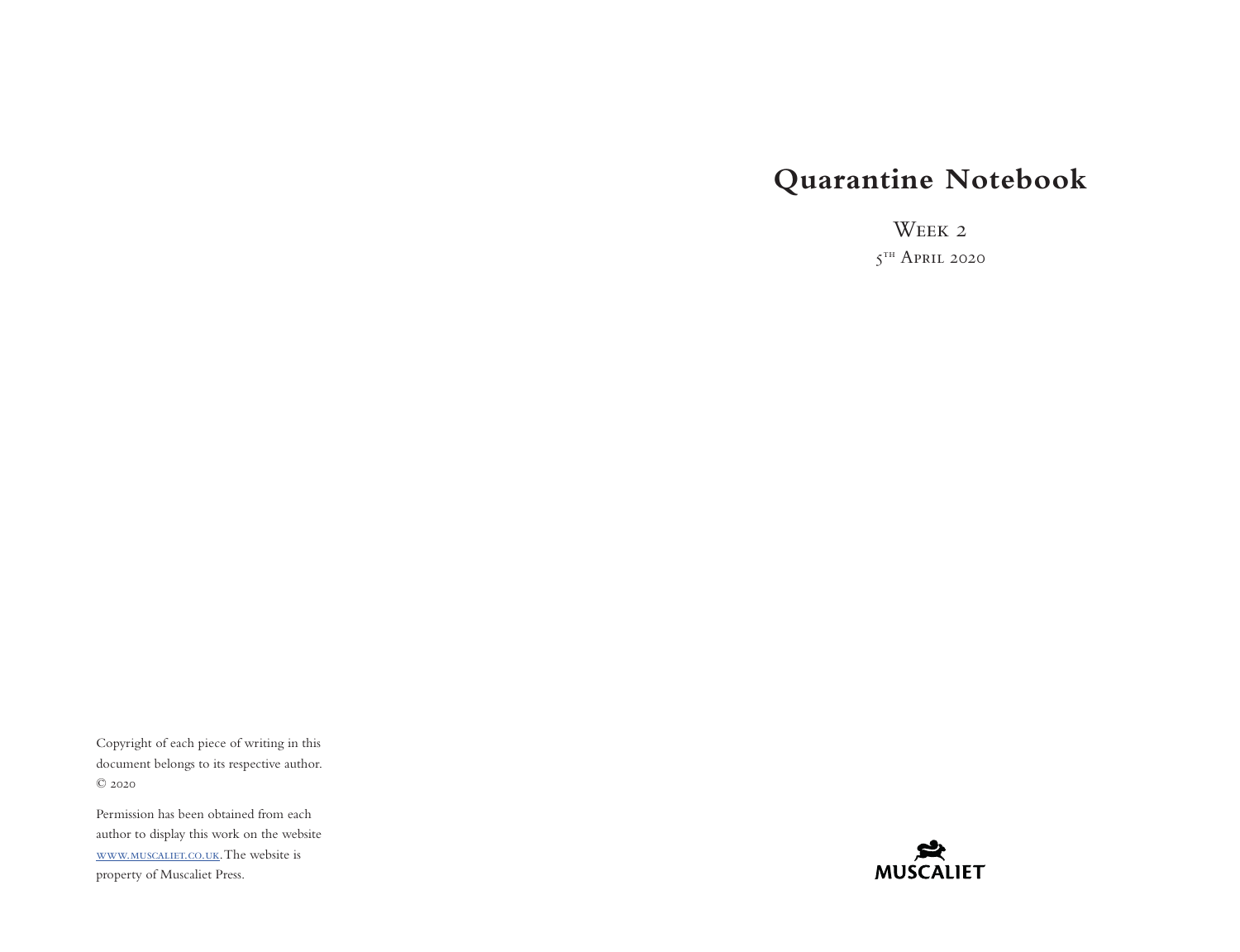## **Quarantine Notebook**

WEEK 2

 $5<sup>th</sup>$  April 2020

Copyright of each piece of writing in this document belongs to its respective author. © 2020

Permission has been obtained from each author to display this work on the website [www.muscaliet.co.uk.](https://www.muscaliet.co.uk) The website is property of Muscaliet Press.

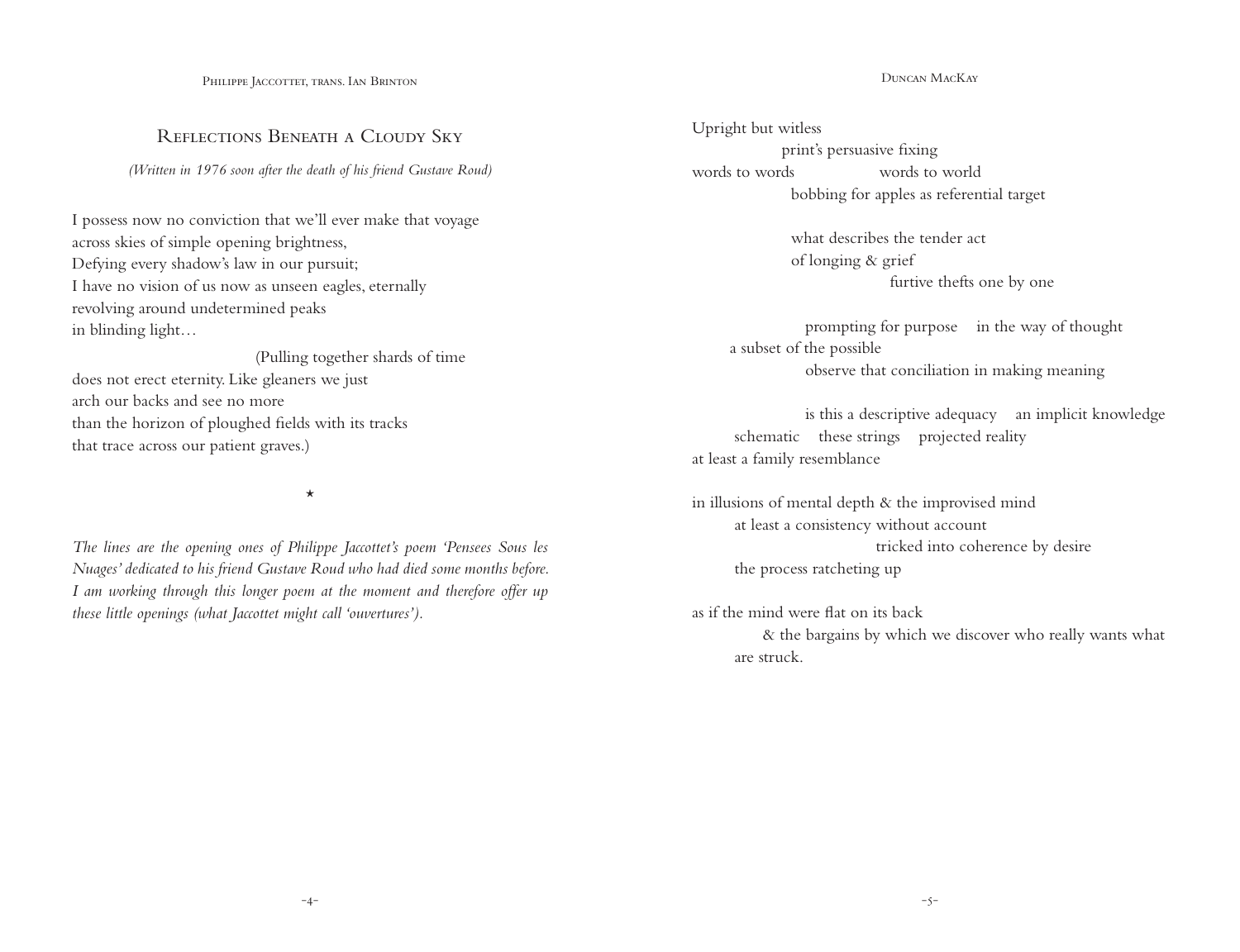PHILIPPE JACCOTTET, TRANS. IAN BRINTON

### REFLECTIONS BENEATH A CLOUDY SKY

*(Written in 1976 soon after the death of his friend Gustave Roud)*

I possess now no conviction that we'll ever make that voyage across skies of simple opening brightness, Defying every shadow's law in our pursuit; I have no vision of us now as unseen eagles, eternally revolving around undetermined peaks in blinding light…

 (Pulling together shards of time does not erect eternity. Like gleaners we just arch our backs and see no more than the horizon of ploughed fields with its tracks that trace across our patient graves.)

\*

*The lines are the opening ones of Philippe Jaccottet's poem 'Pensees Sous les Nuages' dedicated to his friend Gustave Roud who had died some months before. I am working through this longer poem at the moment and therefore offer up these little openings (what Jaccottet might call 'ouvertures').*

Duncan MacKay

Upright but witless print's persuasive fixing words to words words to world bobbing for apples as referential target

> what describes the tender act of longing & grief furtive thefts one by one

 prompting for purpose in the way of thought a subset of the possible observe that conciliation in making meaning

 is this a descriptive adequacy an implicit knowledge schematic these strings projected reality at least a family resemblance

in illusions of mental depth & the improvised mind at least a consistency without account tricked into coherence by desire the process ratcheting up

as if the mind were flat on its back & the bargains by which we discover who really wants what are struck.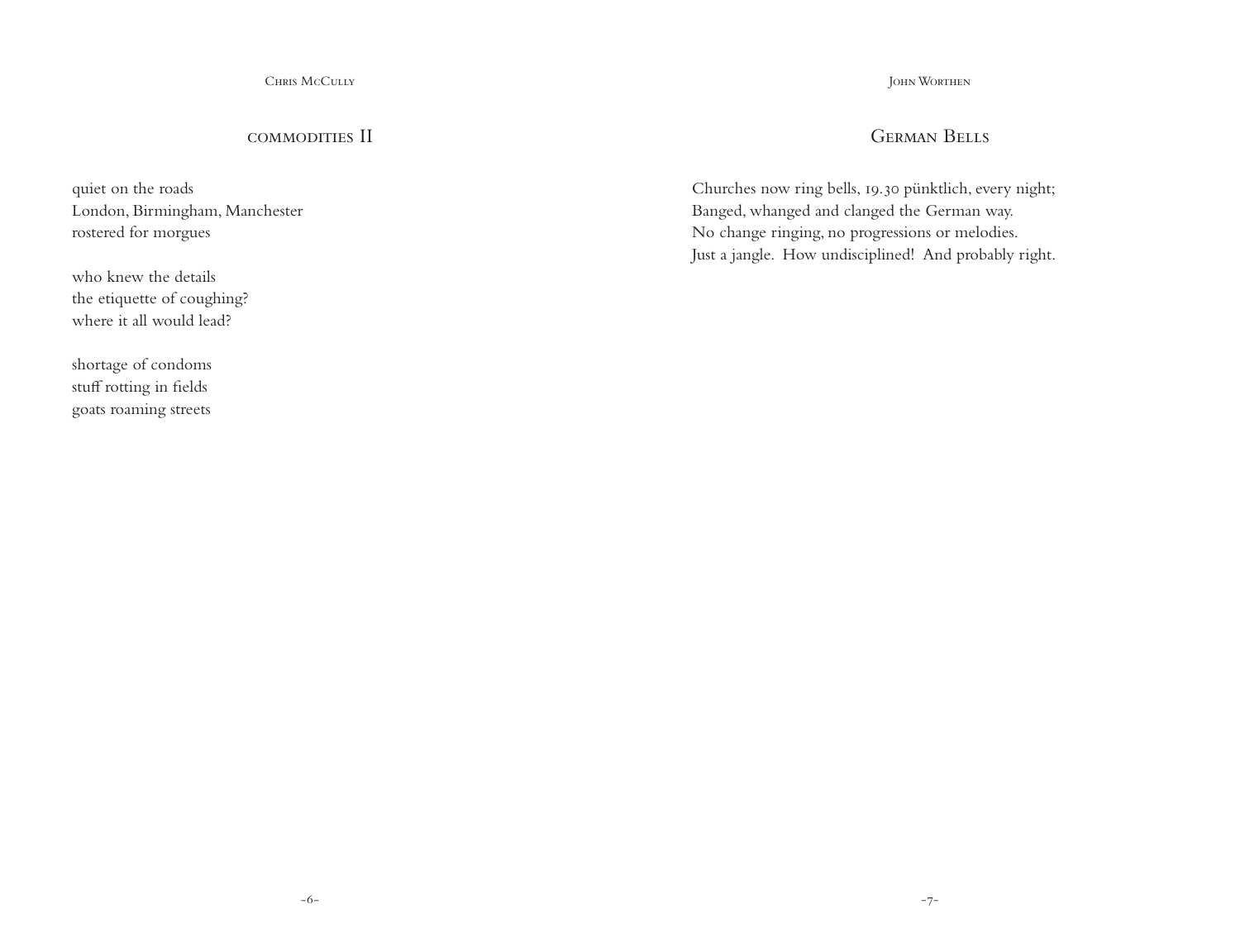Chris McCully

### commodities II

quiet on the roads London, Birmingham, Manchester rostered for morgues

who knew the details the etiquette of coughing? where it all would lead?

shortage of condoms stuff rotting in fields goats roaming streets John Worthen

### German Bells

Churches now ring bells, 19.30 pünktlich, every night; Banged, whanged and clanged the German way. No change ringing, no progressions or melodies. Just a jangle. How undisciplined! And probably right.